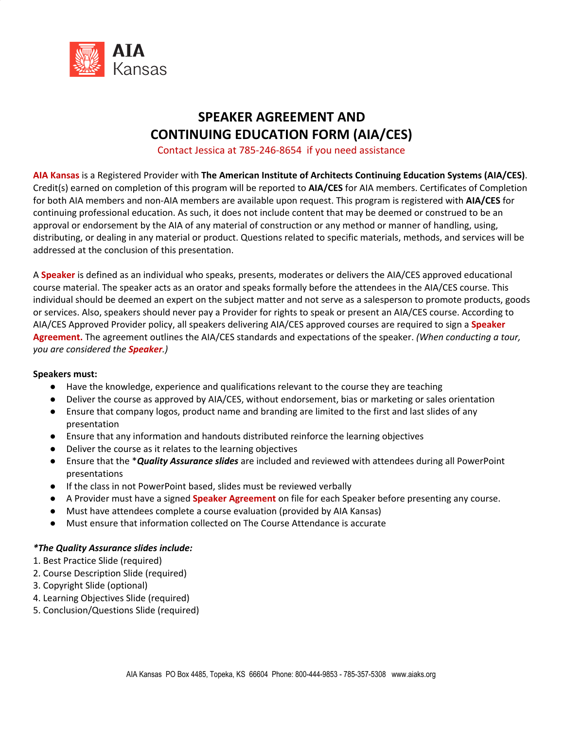

# **SPEAKER AGREEMENT AND CONTINUING EDUCATION FORM (AIA/CES)**

Contact Jessica at 785-246-8654 if you need assistance

**AIA Kansas** is a Registered Provider with **The American Institute of Architects Continuing Education Systems (AIA/CES)**. Credit(s) earned on completion of this program will be reported to **AIA/CES** for AIA members. Certificates of Completion for both AIA members and non-AIA members are available upon request. This program is registered with **AIA/CES** for continuing professional education. As such, it does not include content that may be deemed or construed to be an approval or endorsement by the AIA of any material of construction or any method or manner of handling, using, distributing, or dealing in any material or product. Questions related to specific materials, methods, and services will be addressed at the conclusion of this presentation.

A **Speaker** is defined as an individual who speaks, presents, moderates or delivers the AIA/CES approved educational course material. The speaker acts as an orator and speaks formally before the attendees in the AIA/CES course. This individual should be deemed an expert on the subject matter and not serve as a salesperson to promote products, goods or services. Also, speakers should never pay a Provider for rights to speak or present an AIA/CES course. According to AIA/CES Approved Provider policy, all speakers delivering AIA/CES approved courses are required to sign a **Speaker Agreement.** The agreement outlines the AIA/CES standards and expectations of the speaker. *(When conducting a tour, you are considered the Speaker.)*

## **Speakers must:**

- Have the knowledge, experience and qualifications relevant to the course they are teaching
- Deliver the course as approved by AIA/CES, without endorsement, bias or marketing or sales orientation
- Ensure that company logos, product name and branding are limited to the first and last slides of any presentation
- Ensure that any information and handouts distributed reinforce the learning objectives
- Deliver the course as it relates to the learning objectives
- Ensure that the \**Quality Assurance slides* are included and reviewed with attendees during all PowerPoint presentations
- If the class in not PowerPoint based, slides must be reviewed verbally
- A Provider must have a signed **Speaker Agreement** on file for each Speaker before presenting any course.
- Must have attendees complete a course evaluation (provided by AIA Kansas)
- Must ensure that information collected on The Course Attendance is accurate

## *\*The Quality Assurance slides include:*

- 1. Best Practice Slide (required)
- 2. Course Description Slide (required)
- 3. Copyright Slide (optional)
- 4. Learning Objectives Slide (required)
- 5. Conclusion/Questions Slide (required)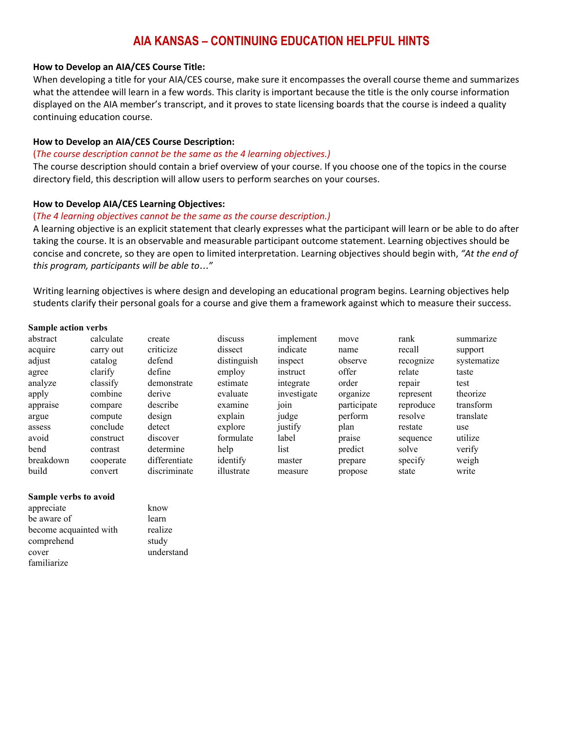## **AIA KANSAS – CONTINUING EDUCATION HELPFUL HINTS**

#### **How to Develop an AIA/CES Course Title:**

When developing a title for your AIA/CES course, make sure it encompasses the overall course theme and summarizes what the attendee will learn in a few words. This clarity is important because the title is the only course information displayed on the AIA member's transcript, and it proves to state licensing boards that the course is indeed a quality continuing education course.

## **How to Develop an AIA/CES Course Description:**

#### (*The course description cannot be the same as the 4 learning objectives.)*

The course description should contain a brief overview of your course. If you choose one of the topics in the course directory field, this description will allow users to perform searches on your courses.

## **How to Develop AIA/CES Learning Objectives:**

## (*The 4 learning objectives cannot be the same as the course description.)*

A learning objective is an explicit statement that clearly expresses what the participant will learn or be able to do after taking the course. It is an observable and measurable participant outcome statement. Learning objectives should be concise and concrete, so they are open to limited interpretation. Learning objectives should begin with, *"At the end of this program, participants will be able to*…*"*

Writing learning objectives is where design and developing an educational program begins. Learning objectives help students clarify their personal goals for a course and give them a framework against which to measure their success.

#### **Sample action verbs**

| abstract<br>acquire | calculate<br>carry out | create<br>criticize | discuss<br>dissect | implement<br>indicate | move<br>name | rank<br>recall | summarize<br>support |
|---------------------|------------------------|---------------------|--------------------|-----------------------|--------------|----------------|----------------------|
| adjust              | catalog                | defend              | distinguish        | inspect               | observe      | recognize      | systematize          |
| agree               | clarify                | define              | employ             | instruct              | offer        | relate         | taste                |
| analyze             | classify               | demonstrate         | estimate           | integrate             | order        | repair         | test                 |
| apply               | combine                | derive              | evaluate           | investigate           | organize     | represent      | theorize             |
| appraise            | compare                | describe            | examine            | 101n                  | participate  | reproduce      | transform            |
| argue               | compute                | design              | explain            | judge                 | perform      | resolve        | translate            |
| assess              | conclude               | detect              | explore            | justify               | plan         | restate        | use                  |
| avoid               | construct              | discover            | formulate          | label                 | praise       | sequence       | utilize              |
| bend                | contrast               | determine           | help               | list                  | predict      | solve          | verify               |
| breakdown           | cooperate              | differentiate       | identify           | master                | prepare      | specify        | weigh                |
| build               | convert                | discriminate        | illustrate         | measure               | propose      | state          | write                |

#### **Sample verbs to avoid**

appreciate know be aware of learn become acquainted with realize comprehend study cover understand familiarize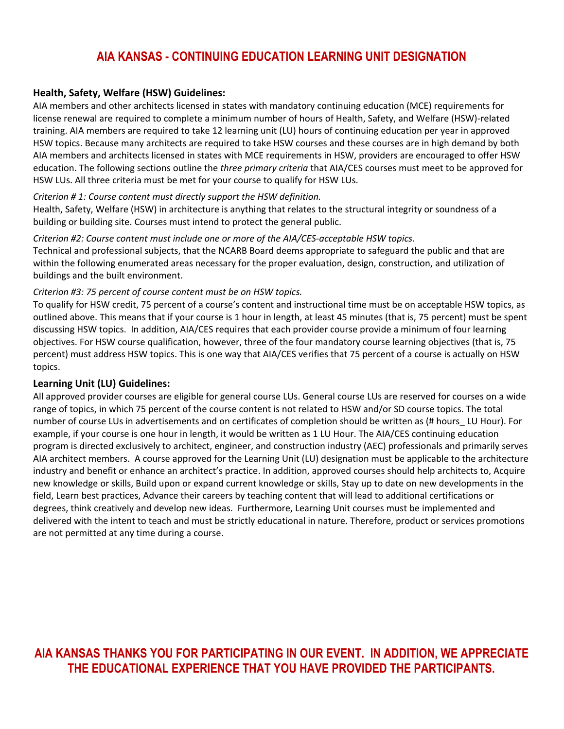## **AIA KANSAS - CONTINUING EDUCATION LEARNING UNIT DESIGNATION**

## **Health, Safety, Welfare (HSW) Guidelines:**

AIA members and other architects licensed in states with mandatory continuing education (MCE) requirements for license renewal are required to complete a minimum number of hours of Health, Safety, and Welfare (HSW)-related training. AIA members are required to take 12 learning unit (LU) hours of continuing education per year in approved HSW topics. Because many architects are required to take HSW courses and these courses are in high demand by both AIA members and architects licensed in states with MCE requirements in HSW, providers are encouraged to offer HSW education. The following sections outline the *three primary criteria* that AIA/CES courses must meet to be approved for HSW LUs. All three criteria must be met for your course to qualify for HSW LUs.

## *Criterion # 1: Course content must directly support the HSW definition.*

Health, Safety, Welfare (HSW) in architecture is anything that relates to the structural integrity or soundness of a building or building site. Courses must intend to protect the general public.

## *Criterion #2: Course content must include one or more of the AIA/CES-acceptable HSW topics.*

Technical and professional subjects, that the NCARB Board deems appropriate to safeguard the public and that are within the following enumerated areas necessary for the proper evaluation, design, construction, and utilization of buildings and the built environment.

## *Criterion #3: 75 percent of course content must be on HSW topics.*

To qualify for HSW credit, 75 percent of a course's content and instructional time must be on acceptable HSW topics, as outlined above. This means that if your course is 1 hour in length, at least 45 minutes (that is, 75 percent) must be spent discussing HSW topics. In addition, AIA/CES requires that each provider course provide a minimum of four learning objectives. For HSW course qualification, however, three of the four mandatory course learning objectives (that is, 75 percent) must address HSW topics. This is one way that AIA/CES verifies that 75 percent of a course is actually on HSW topics.

## **Learning Unit (LU) Guidelines:**

All approved provider courses are eligible for general course LUs. General course LUs are reserved for courses on a wide range of topics, in which 75 percent of the course content is not related to HSW and/or SD course topics. The total number of course LUs in advertisements and on certificates of completion should be written as (# hours\_ LU Hour). For example, if your course is one hour in length, it would be written as 1 LU Hour. The AIA/CES continuing education program is directed exclusively to architect, engineer, and construction industry (AEC) professionals and primarily serves AIA architect members. A course approved for the Learning Unit (LU) designation must be applicable to the architecture industry and benefit or enhance an architect's practice. In addition, approved courses should help architects to, Acquire new knowledge or skills, Build upon or expand current knowledge or skills, Stay up to date on new developments in the field, Learn best practices, Advance their careers by teaching content that will lead to additional certifications or degrees, think creatively and develop new ideas. Furthermore, Learning Unit courses must be implemented and delivered with the intent to teach and must be strictly educational in nature. Therefore, product or services promotions are not permitted at any time during a course.

## **AIA KANSAS THANKS YOU FOR PARTICIPATING IN OUR EVENT. IN ADDITION, WE APPRECIATE THE EDUCATIONAL EXPERIENCE THAT YOU HAVE PROVIDED THE PARTICIPANTS.**